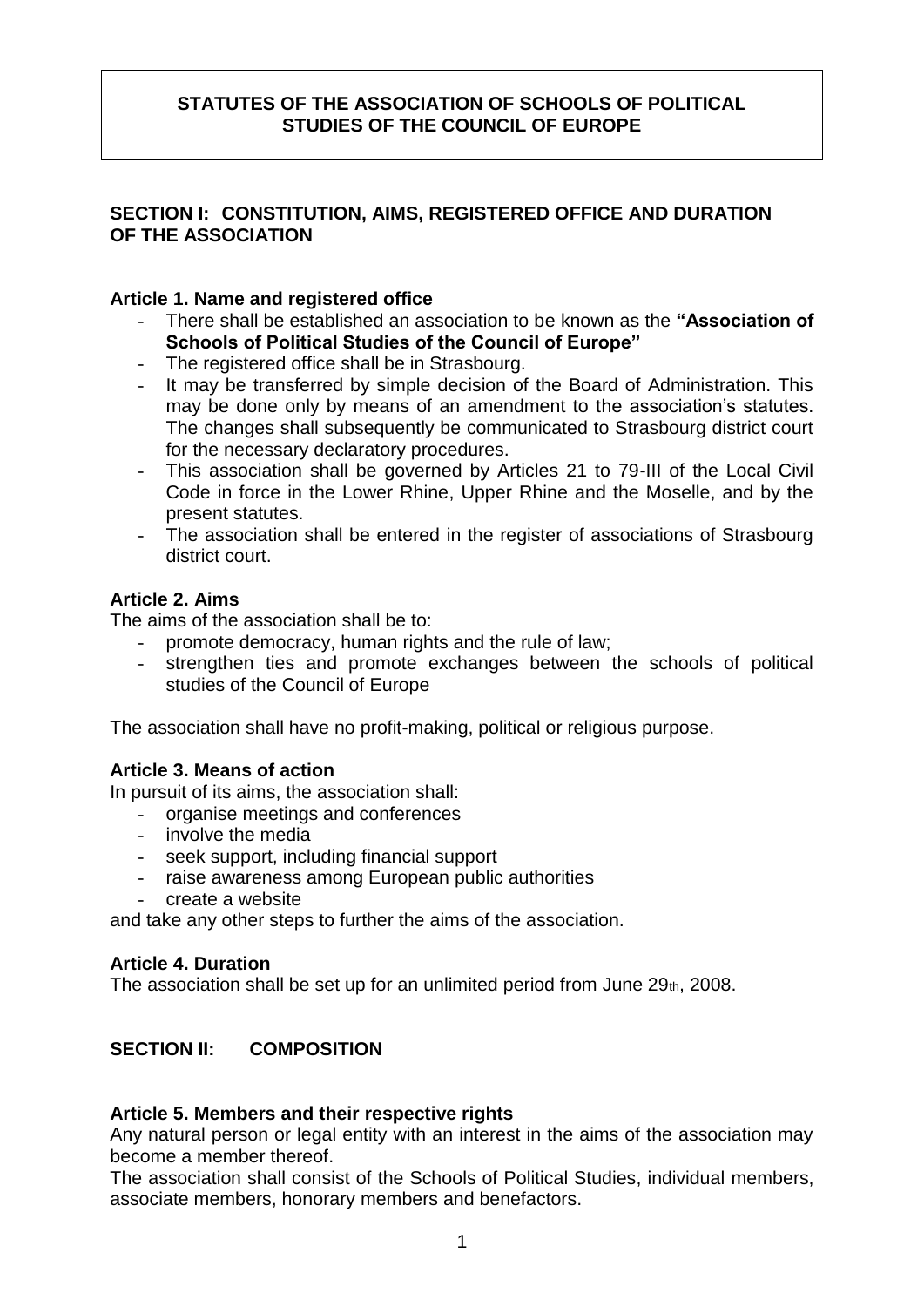## **STATUTES OF THE ASSOCIATION OF SCHOOLS OF POLITICAL STUDIES OF THE COUNCIL OF EUROPE**

## **SECTION I: CONSTITUTION, AIMS, REGISTERED OFFICE AND DURATION OF THE ASSOCIATION**

### **Article 1. Name and registered office**

- There shall be established an association to be known as the **"Association of Schools of Political Studies of the Council of Europe"**
- The registered office shall be in Strasbourg.
- It may be transferred by simple decision of the Board of Administration. This may be done only by means of an amendment to the association's statutes. The changes shall subsequently be communicated to Strasbourg district court for the necessary declaratory procedures.
- This association shall be governed by Articles 21 to 79-III of the Local Civil Code in force in the Lower Rhine, Upper Rhine and the Moselle, and by the present statutes.
- The association shall be entered in the register of associations of Strasbourg district court.

## **Article 2. Aims**

The aims of the association shall be to:

- promote democracy, human rights and the rule of law;
- strengthen ties and promote exchanges between the schools of political studies of the Council of Europe

The association shall have no profit-making, political or religious purpose.

### **Article 3. Means of action**

In pursuit of its aims, the association shall:

- organise meetings and conferences
- involve the media
- seek support, including financial support
- raise awareness among European public authorities
- create a website

and take any other steps to further the aims of the association.

### **Article 4. Duration**

The association shall be set up for an unlimited period from June  $29<sub>th</sub>$ , 2008.

# **SECTION II: COMPOSITION**

### **Article 5. Members and their respective rights**

Any natural person or legal entity with an interest in the aims of the association may become a member thereof.

The association shall consist of the Schools of Political Studies, individual members, associate members, honorary members and benefactors.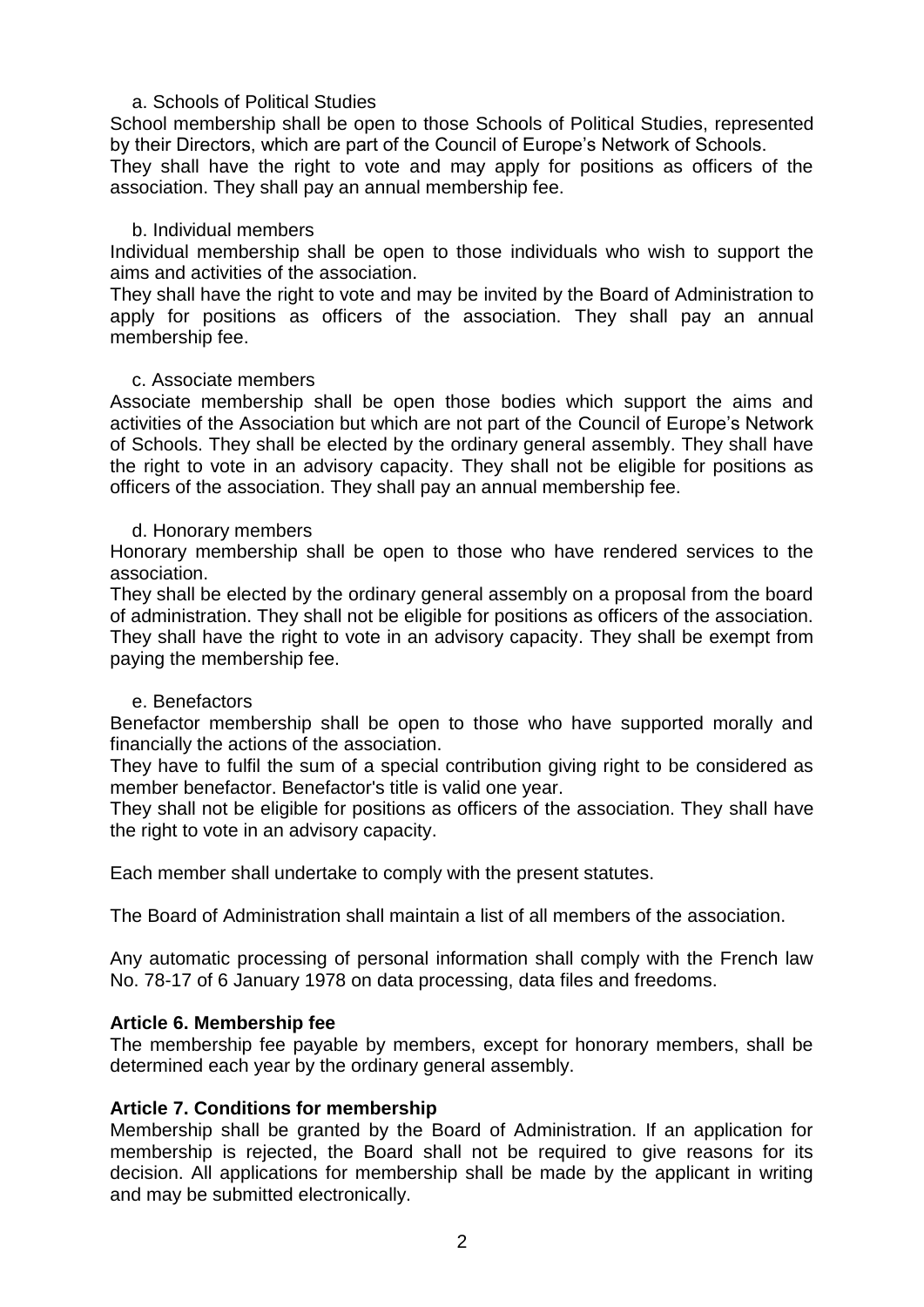### a. Schools of Political Studies

School membership shall be open to those Schools of Political Studies, represented by their Directors, which are part of the Council of Europe's Network of Schools.

They shall have the right to vote and may apply for positions as officers of the association. They shall pay an annual membership fee.

#### b. Individual members

Individual membership shall be open to those individuals who wish to support the aims and activities of the association.

They shall have the right to vote and may be invited by the Board of Administration to apply for positions as officers of the association. They shall pay an annual membership fee.

#### c. Associate members

Associate membership shall be open those bodies which support the aims and activities of the Association but which are not part of the Council of Europe's Network of Schools. They shall be elected by the ordinary general assembly. They shall have the right to vote in an advisory capacity. They shall not be eligible for positions as officers of the association. They shall pay an annual membership fee.

#### d. Honorary members

Honorary membership shall be open to those who have rendered services to the association.

They shall be elected by the ordinary general assembly on a proposal from the board of administration. They shall not be eligible for positions as officers of the association. They shall have the right to vote in an advisory capacity. They shall be exempt from paying the membership fee.

#### e. Benefactors

Benefactor membership shall be open to those who have supported morally and financially the actions of the association.

They have to fulfil the sum of a special contribution giving right to be considered as member benefactor. Benefactor's title is valid one year.

They shall not be eligible for positions as officers of the association. They shall have the right to vote in an advisory capacity.

Each member shall undertake to comply with the present statutes.

The Board of Administration shall maintain a list of all members of the association.

Any automatic processing of personal information shall comply with the French law No. 78-17 of 6 January 1978 on data processing, data files and freedoms.

### **Article 6. Membership fee**

The membership fee payable by members, except for honorary members, shall be determined each year by the ordinary general assembly.

### **Article 7. Conditions for membership**

Membership shall be granted by the Board of Administration. If an application for membership is rejected, the Board shall not be required to give reasons for its decision. All applications for membership shall be made by the applicant in writing and may be submitted electronically.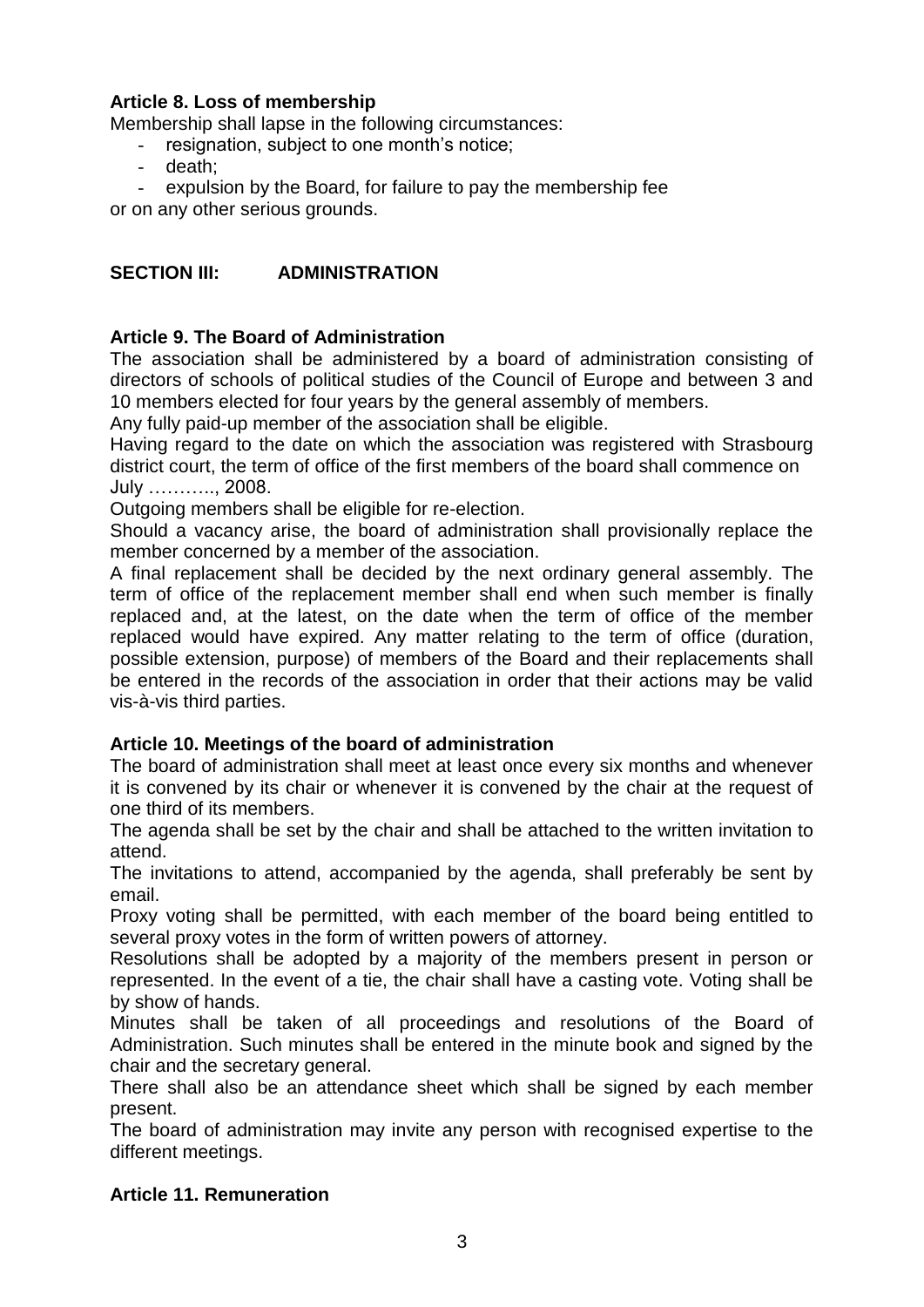# **Article 8. Loss of membership**

Membership shall lapse in the following circumstances:

- resignation, subject to one month's notice;
- death:
- expulsion by the Board, for failure to pay the membership fee

or on any other serious grounds.

# **SECTION III: ADMINISTRATION**

# **Article 9. The Board of Administration**

The association shall be administered by a board of administration consisting of directors of schools of political studies of the Council of Europe and between 3 and 10 members elected for four years by the general assembly of members.

Any fully paid-up member of the association shall be eligible.

Having regard to the date on which the association was registered with Strasbourg district court, the term of office of the first members of the board shall commence on July ……….., 2008.

Outgoing members shall be eligible for re-election.

Should a vacancy arise, the board of administration shall provisionally replace the member concerned by a member of the association.

A final replacement shall be decided by the next ordinary general assembly. The term of office of the replacement member shall end when such member is finally replaced and, at the latest, on the date when the term of office of the member replaced would have expired. Any matter relating to the term of office (duration, possible extension, purpose) of members of the Board and their replacements shall be entered in the records of the association in order that their actions may be valid vis-à-vis third parties.

# **Article 10. Meetings of the board of administration**

The board of administration shall meet at least once every six months and whenever it is convened by its chair or whenever it is convened by the chair at the request of one third of its members.

The agenda shall be set by the chair and shall be attached to the written invitation to attend.

The invitations to attend, accompanied by the agenda, shall preferably be sent by email.

Proxy voting shall be permitted, with each member of the board being entitled to several proxy votes in the form of written powers of attorney.

Resolutions shall be adopted by a majority of the members present in person or represented. In the event of a tie, the chair shall have a casting vote. Voting shall be by show of hands.

Minutes shall be taken of all proceedings and resolutions of the Board of Administration. Such minutes shall be entered in the minute book and signed by the chair and the secretary general.

There shall also be an attendance sheet which shall be signed by each member present.

The board of administration may invite any person with recognised expertise to the different meetings.

# **Article 11. Remuneration**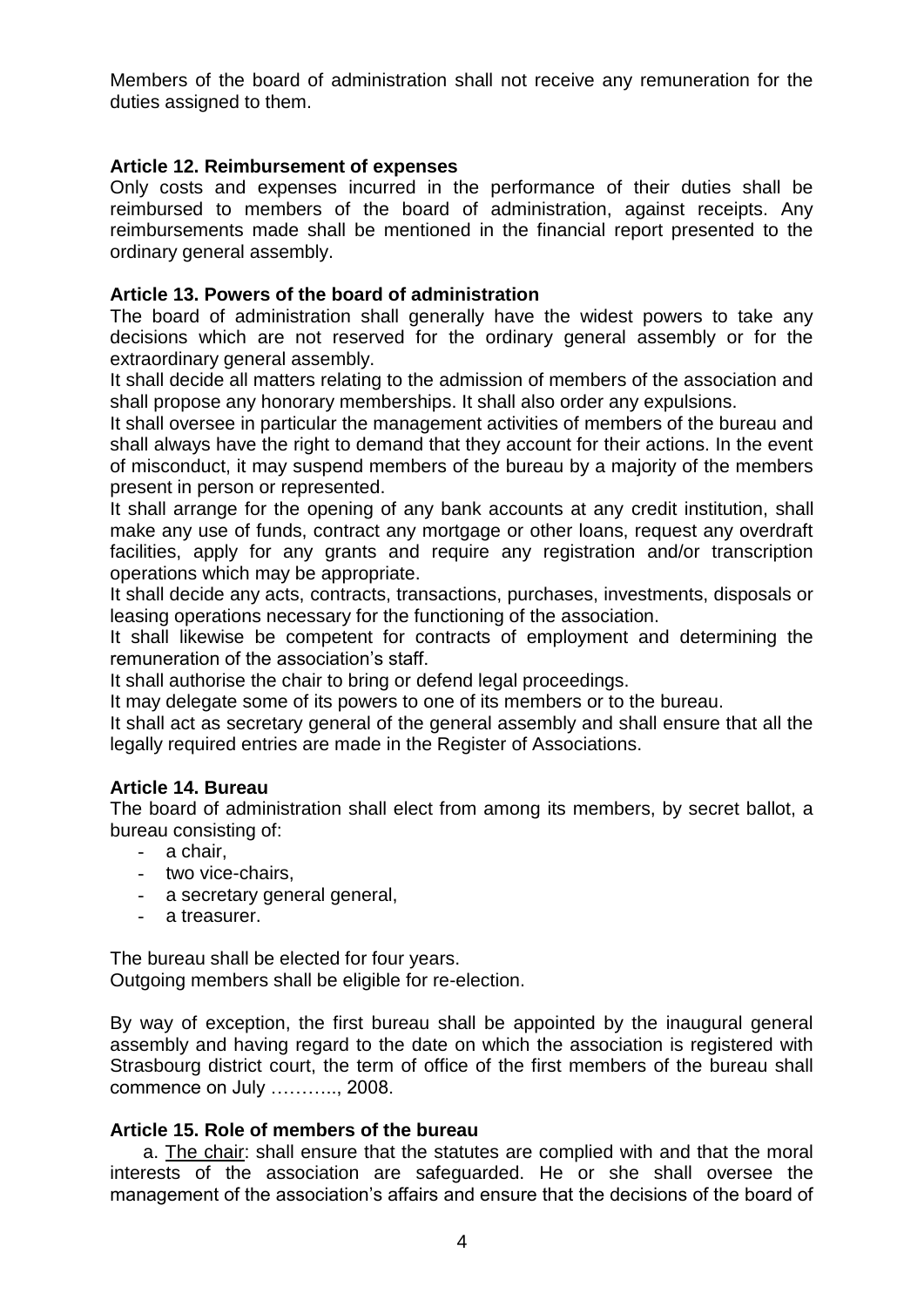Members of the board of administration shall not receive any remuneration for the duties assigned to them.

### **Article 12. Reimbursement of expenses**

Only costs and expenses incurred in the performance of their duties shall be reimbursed to members of the board of administration, against receipts. Any reimbursements made shall be mentioned in the financial report presented to the ordinary general assembly.

#### **Article 13. Powers of the board of administration**

The board of administration shall generally have the widest powers to take any decisions which are not reserved for the ordinary general assembly or for the extraordinary general assembly.

It shall decide all matters relating to the admission of members of the association and shall propose any honorary memberships. It shall also order any expulsions.

It shall oversee in particular the management activities of members of the bureau and shall always have the right to demand that they account for their actions. In the event of misconduct, it may suspend members of the bureau by a majority of the members present in person or represented.

It shall arrange for the opening of any bank accounts at any credit institution, shall make any use of funds, contract any mortgage or other loans, request any overdraft facilities, apply for any grants and require any registration and/or transcription operations which may be appropriate.

It shall decide any acts, contracts, transactions, purchases, investments, disposals or leasing operations necessary for the functioning of the association.

It shall likewise be competent for contracts of employment and determining the remuneration of the association's staff.

It shall authorise the chair to bring or defend legal proceedings.

It may delegate some of its powers to one of its members or to the bureau.

It shall act as secretary general of the general assembly and shall ensure that all the legally required entries are made in the Register of Associations.

#### **Article 14. Bureau**

The board of administration shall elect from among its members, by secret ballot, a bureau consisting of:

- a chair,
- two vice-chairs,
- a secretary general general,
- a treasurer.

The bureau shall be elected for four years. Outgoing members shall be eligible for re-election.

By way of exception, the first bureau shall be appointed by the inaugural general assembly and having regard to the date on which the association is registered with Strasbourg district court, the term of office of the first members of the bureau shall commence on July ……….., 2008.

#### **Article 15. Role of members of the bureau**

a. The chair: shall ensure that the statutes are complied with and that the moral interests of the association are safeguarded. He or she shall oversee the management of the association's affairs and ensure that the decisions of the board of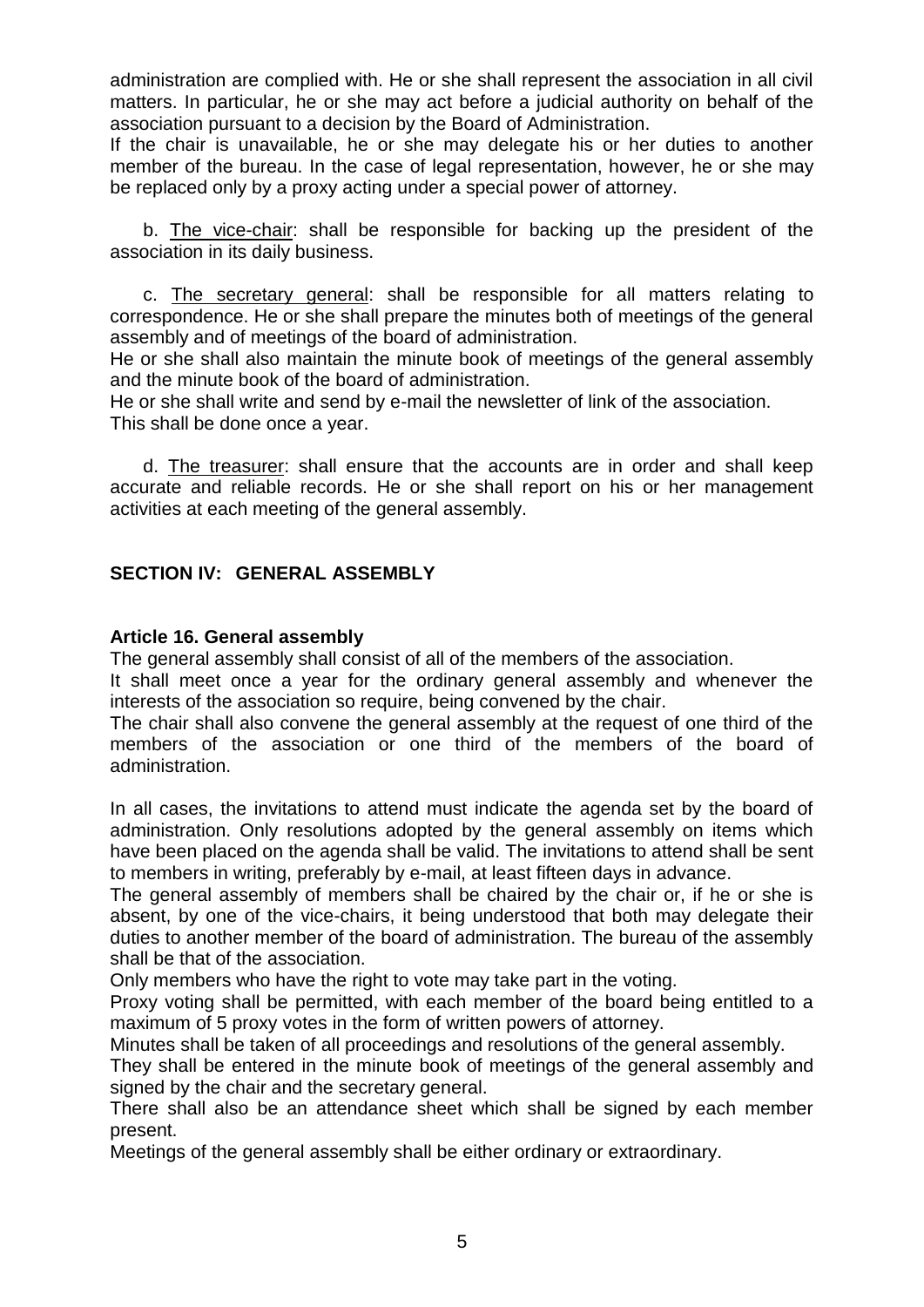administration are complied with. He or she shall represent the association in all civil matters. In particular, he or she may act before a judicial authority on behalf of the association pursuant to a decision by the Board of Administration.

If the chair is unavailable, he or she may delegate his or her duties to another member of the bureau. In the case of legal representation, however, he or she may be replaced only by a proxy acting under a special power of attorney.

b. The vice-chair: shall be responsible for backing up the president of the association in its daily business.

c. The secretary general: shall be responsible for all matters relating to correspondence. He or she shall prepare the minutes both of meetings of the general assembly and of meetings of the board of administration.

He or she shall also maintain the minute book of meetings of the general assembly and the minute book of the board of administration.

He or she shall write and send by e-mail the newsletter of link of the association. This shall be done once a year.

d. The treasurer: shall ensure that the accounts are in order and shall keep accurate and reliable records. He or she shall report on his or her management activities at each meeting of the general assembly.

## **SECTION IV: GENERAL ASSEMBLY**

#### **Article 16. General assembly**

The general assembly shall consist of all of the members of the association.

It shall meet once a year for the ordinary general assembly and whenever the interests of the association so require, being convened by the chair.

The chair shall also convene the general assembly at the request of one third of the members of the association or one third of the members of the board of administration.

In all cases, the invitations to attend must indicate the agenda set by the board of administration. Only resolutions adopted by the general assembly on items which have been placed on the agenda shall be valid. The invitations to attend shall be sent to members in writing, preferably by e-mail, at least fifteen days in advance.

The general assembly of members shall be chaired by the chair or, if he or she is absent, by one of the vice-chairs, it being understood that both may delegate their duties to another member of the board of administration. The bureau of the assembly shall be that of the association.

Only members who have the right to vote may take part in the voting.

Proxy voting shall be permitted, with each member of the board being entitled to a maximum of 5 proxy votes in the form of written powers of attorney.

Minutes shall be taken of all proceedings and resolutions of the general assembly.

They shall be entered in the minute book of meetings of the general assembly and signed by the chair and the secretary general.

There shall also be an attendance sheet which shall be signed by each member present.

Meetings of the general assembly shall be either ordinary or extraordinary.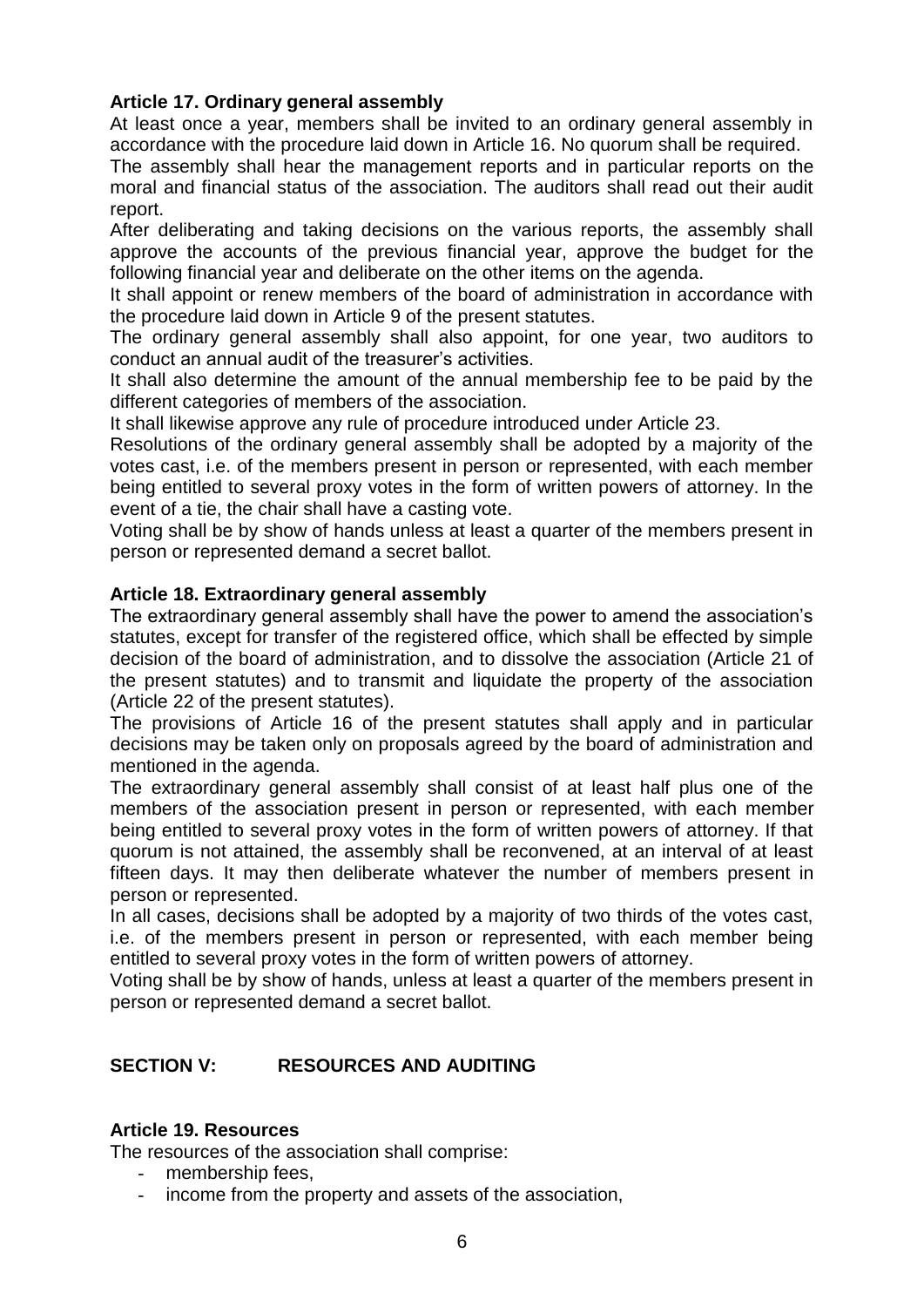# **Article 17. Ordinary general assembly**

At least once a year, members shall be invited to an ordinary general assembly in accordance with the procedure laid down in Article 16. No quorum shall be required.

The assembly shall hear the management reports and in particular reports on the moral and financial status of the association. The auditors shall read out their audit report.

After deliberating and taking decisions on the various reports, the assembly shall approve the accounts of the previous financial year, approve the budget for the following financial year and deliberate on the other items on the agenda.

It shall appoint or renew members of the board of administration in accordance with the procedure laid down in Article 9 of the present statutes.

The ordinary general assembly shall also appoint, for one year, two auditors to conduct an annual audit of the treasurer's activities.

It shall also determine the amount of the annual membership fee to be paid by the different categories of members of the association.

It shall likewise approve any rule of procedure introduced under Article 23.

Resolutions of the ordinary general assembly shall be adopted by a majority of the votes cast, i.e. of the members present in person or represented, with each member being entitled to several proxy votes in the form of written powers of attorney. In the event of a tie, the chair shall have a casting vote.

Voting shall be by show of hands unless at least a quarter of the members present in person or represented demand a secret ballot.

# **Article 18. Extraordinary general assembly**

The extraordinary general assembly shall have the power to amend the association's statutes, except for transfer of the registered office, which shall be effected by simple decision of the board of administration, and to dissolve the association (Article 21 of the present statutes) and to transmit and liquidate the property of the association (Article 22 of the present statutes).

The provisions of Article 16 of the present statutes shall apply and in particular decisions may be taken only on proposals agreed by the board of administration and mentioned in the agenda.

The extraordinary general assembly shall consist of at least half plus one of the members of the association present in person or represented, with each member being entitled to several proxy votes in the form of written powers of attorney. If that quorum is not attained, the assembly shall be reconvened, at an interval of at least fifteen days. It may then deliberate whatever the number of members present in person or represented.

In all cases, decisions shall be adopted by a majority of two thirds of the votes cast, i.e. of the members present in person or represented, with each member being entitled to several proxy votes in the form of written powers of attorney.

Voting shall be by show of hands, unless at least a quarter of the members present in person or represented demand a secret ballot.

# **SECTION V: RESOURCES AND AUDITING**

### **Article 19. Resources**

The resources of the association shall comprise:

- membership fees,
- income from the property and assets of the association,